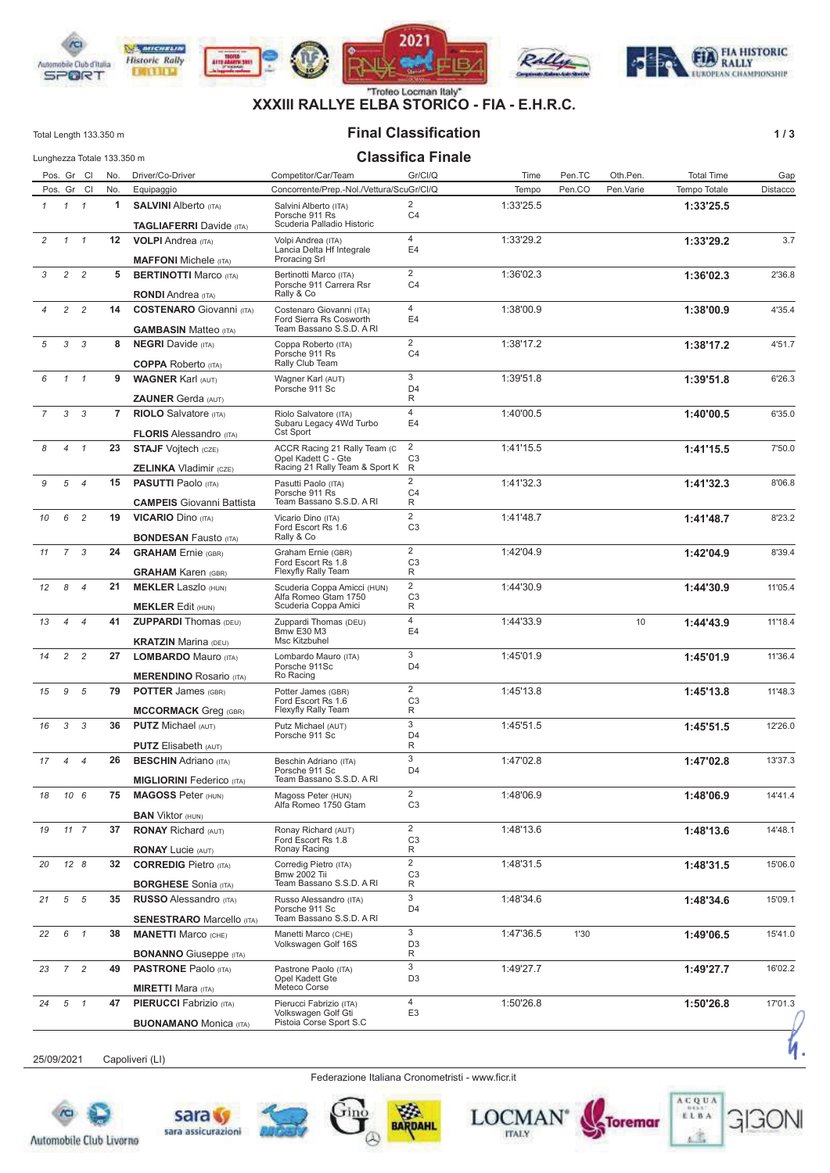

# **XXXIII RALLYE ELBA STORICO - FIA - E.H.R.C.**

#### **Final Classification**

Total Length 133.350 m

#### $\overline{a}$  $\mathbf{r} = \mathbf{r} \times \mathbf{r}$  $\sim$   $\sim$

 $1/3$ 

|               |                |                | Lunghezza Totale 133.350 m |                                                                                                 |                                                                                                     | <b>Classifica Finale</b>                   |           |        |           |                   |          |
|---------------|----------------|----------------|----------------------------|-------------------------------------------------------------------------------------------------|-----------------------------------------------------------------------------------------------------|--------------------------------------------|-----------|--------|-----------|-------------------|----------|
|               |                | Pos. Gr Cl     | No.                        | Driver/Co-Driver                                                                                | Competitor/Car/Team                                                                                 | Gr/Cl/Q                                    | Time      | Pen.TC | Oth.Pen.  | <b>Total Time</b> | Gap      |
|               |                | Pos. Gr Cl     | No.                        | Equipaggio                                                                                      | Concorrente/Prep.-Nol./Vettura/ScuGr/Cl/Q                                                           |                                            | Tempo     | Pen.CO | Pen.Varie | Tempo Totale      | Distacco |
| $\mathcal{I}$ | $1 \quad 1$    |                | 1                          | <b>SALVINI</b> Alberto (ITA)<br><b>TAGLIAFERRI</b> Davide (ITA)                                 | Salvini Alberto (ITA)<br>Porsche 911 Rs<br>Scuderia Palladio Historic                               | $\overline{2}$<br>C <sub>4</sub>           | 1:33'25.5 |        |           | 1:33'25.5         |          |
| 2             | $1 \quad 1$    |                | 12                         | <b>VOLPI</b> Andrea (ITA)<br><b>MAFFONI</b> Michele (ITA)                                       | Volpi Andrea (ITA)<br>Lancia Delta Hf Integrale<br>Proracing Srl                                    | $\overline{4}$<br>E4                       | 1:33'29.2 |        |           | 1:33'29.2         | 3.7      |
| 3             |                | $2 \quad 2$    | 5                          | <b>BERTINOTTI Marco (ITA)</b>                                                                   | Bertinotti Marco (ITA)<br>Porsche 911 Carrera Rsr<br>Rally & Co                                     | 2<br>C <sub>4</sub>                        | 1:36'02.3 |        |           | 1:36'02.3         | 2'36.8   |
|               | $\overline{c}$ | $\overline{2}$ | 14                         | <b>RONDI</b> Andrea (ITA)<br><b>COSTENARO</b> Giovanni (ITA)<br><b>GAMBASIN Matteo (ITA)</b>    | Costenaro Giovanni (ITA)<br>Ford Sierra Rs Cosworth<br>Team Bassano S.S.D. A RI                     | $\overline{4}$<br>E <sub>4</sub>           | 1:38'00.9 |        |           | 1:38'00.9         | 4'35.4   |
| 5             | 3              | $\mathcal{S}$  | 8                          | <b>NEGRI</b> Davide (ITA)<br><b>COPPA</b> Roberto (ITA)                                         | Coppa Roberto (ITA)<br>Porsche 911 Rs<br>Rally Club Team                                            | $\overline{2}$<br>C4                       | 1:38'17.2 |        |           | 1:38'17.2         | 4'51.7   |
| 6             | $\mathcal{I}$  | $\overline{1}$ | 9                          | <b>WAGNER Karl (AUT)</b>                                                                        | Wagner Karl (AUT)<br>Porsche 911 Sc                                                                 | 3<br>D <sub>4</sub><br>R                   | 1:39'51.8 |        |           | 1:39'51.8         | 6'26.3   |
| 7             | 3              | $\mathcal{S}$  | 7                          | <b>ZAUNER Gerda (AUT)</b><br><b>RIOLO</b> Salvatore (ITA)                                       | Riolo Salvatore (ITA)<br>Subaru Legacy 4Wd Turbo                                                    | $\overline{4}$<br>E <sub>4</sub>           | 1:40'00.5 |        |           | 1:40'00.5         | 6'35.0   |
| 8             | $\overline{4}$ | $\overline{1}$ | 23                         | <b>FLORIS Alessandro (ITA)</b><br><b>STAJF</b> Vojtech (CZE)                                    | Cst Sport<br>ACCR Racing 21 Rally Team (C<br>Opel Kadett C - Gte                                    | $\overline{2}$<br>C <sub>3</sub>           | 1:41'15.5 |        |           | 1:41'15.5         | 7'50.0   |
| 9             | 5              | $\overline{4}$ | 15                         | <b>ZELINKA</b> Vladimir (CZE)<br><b>PASUTTI Paolo (ITA)</b><br><b>CAMPEIS</b> Giovanni Battista | Racing 21 Rally Team & Sport K<br>Pasutti Paolo (ITA)<br>Porsche 911 Rs<br>Team Bassano S.S.D. A RI | R<br>$\overline{2}$<br>C <sub>4</sub><br>R | 1:41'32.3 |        |           | 1:41'32.3         | 8'06.8   |
| 10            | 6              | $\overline{c}$ | 19                         | <b>VICARIO Dino (ITA)</b><br><b>BONDESAN Fausto (ITA)</b>                                       | Vicario Dino (ITA)<br>Ford Escort Rs 1.6<br>Rally & Co                                              | $\overline{2}$<br>C <sub>3</sub>           | 1:41'48.7 |        |           | 1:41'48.7         | 8'23.2   |
| 11            | $\overline{7}$ | $\mathcal{S}$  | 24                         | <b>GRAHAM</b> Ernie (GBR)<br><b>GRAHAM Karen (GBR)</b>                                          | Graham Ernie (GBR)<br>Ford Escort Rs 1.8<br>Flexyfly Rally Team                                     | $\overline{2}$<br>C <sub>3</sub><br>R      | 1:42'04.9 |        |           | 1:42'04.9         | 8'39.4   |
| 12            | 8              | $\overline{4}$ | 21                         | <b>MEKLER Laszlo (HUN)</b><br><b>MEKLER Edit (HUN)</b>                                          | Scuderia Coppa Amicci (HUN)<br>Alfa Romeo Gtam 1750<br>Scuderia Coppa Amici                         | $\overline{2}$<br>C <sub>3</sub><br>R      | 1:44'30.9 |        |           | 1:44'30.9         | 11'05.4  |
| 13            | $\overline{4}$ | $\overline{4}$ | 41                         | <b>ZUPPARDI</b> Thomas (DEU)<br><b>KRATZIN Marina (DEU)</b>                                     | Zuppardi Thomas (DEU)<br><b>Bmw E30 M3</b><br>Msc Kitzbuhel                                         | 4<br>E4                                    | 1:44'33.9 |        | 10        | 1:44'43.9         | 11'18.4  |
| 14            | 2              | $\overline{c}$ | 27                         | <b>LOMBARDO Mauro (ITA)</b><br><b>MERENDINO Rosario (ITA)</b>                                   | Lombardo Mauro (ITA)<br>Porsche 911Sc<br>Ro Racing                                                  | 3<br>D <sub>4</sub>                        | 1:45'01.9 |        |           | 1:45'01.9         | 11'36.4  |
| 15            | 9              | 5              | 79                         | <b>POTTER James (GBR)</b><br><b>MCCORMACK</b> Greg (GBR)                                        | Potter James (GBR)<br>Ford Escort Rs 1.6<br>Flexyfly Rally Team                                     | $\overline{2}$<br>C <sub>3</sub><br>R      | 1:45'13.8 |        |           | 1:45'13.8         | 11'48.3  |
| 16            | 3              | 3              | 36                         | <b>PUTZ Michael (AUT)</b><br><b>PUTZ</b> Elisabeth (AUT)                                        | Putz Michael (AUT)<br>Porsche 911 Sc                                                                | 3<br>D <sub>4</sub><br>R                   | 1:45'51.5 |        |           | 1:45'51.5         | 12'26.0  |
| 17            | $\overline{4}$ | $\overline{4}$ | 26                         | <b>BESCHIN</b> Adriano (ITA)<br><b>MIGLIORINI Federico</b> (ITA)                                | Beschin Adriano (ITA)<br>Porsche 911 Sc<br>Team Bassano S.S.D. A RI                                 | 3<br>D <sub>4</sub>                        | 1:47'02.8 |        |           | 1:47'02.8         | 13'37.3  |
| 18            | 10 6           |                | 75                         | <b>MAGOSS Peter (HUN)</b><br><b>BAN</b> Viktor (HUN)                                            | Magoss Peter (HUN)<br>Alfa Romeo 1750 Gtam                                                          | $\overline{2}$<br>C <sub>3</sub>           | 1:48'06.9 |        |           | 1:48'06.9         | 14'41.4  |
| 19            |                | $11 \quad 7$   | 37                         | <b>RONAY Richard (AUT)</b><br><b>RONAY Lucie (AUT)</b>                                          | Ronay Richard (AUT)<br>Ford Escort Rs 1.8<br>Ronay Racing                                           | $\overline{2}$<br>C <sub>3</sub><br>R      | 1:48'13.6 |        |           | 1:48'13.6         | 14'48.1  |
| 20            | 128            |                | 32                         | <b>CORREDIG Pietro (ITA)</b><br><b>BORGHESE</b> Sonia (ITA)                                     | Corredig Pietro (ITA)<br><b>Bmw 2002 Tii</b><br>Team Bassano S.S.D. A RI                            | $\overline{2}$<br>C <sub>3</sub><br>R      | 1:48'31.5 |        |           | 1:48'31.5         | 15'06.0  |
| 21            |                | 5 5            | 35                         | <b>RUSSO Alessandro (ITA)</b><br><b>SENESTRARO Marcello (ITA)</b>                               | Russo Alessandro (ITA)<br>Porsche 911 Sc<br>Team Bassano S.S.D. A RI                                | 3<br>D4                                    | 1:48'34.6 |        |           | 1:48'34.6         | 15'09.1  |
| 22            | 6 1            |                | 38                         | <b>MANETTI Marco (CHE)</b><br><b>BONANNO</b> Giuseppe (ITA)                                     | Manetti Marco (CHE)<br>Volkswagen Golf 16S                                                          | 3<br>D <sub>3</sub><br>R                   | 1:47'36.5 | 1'30   |           | 1:49'06.5         | 15'41.0  |
| 23            | $7\quad 2$     |                | 49                         | <b>PASTRONE</b> Paolo (ITA)<br><b>MIRETTI Mara (ITA)</b>                                        | Pastrone Paolo (ITA)<br>Opel Kadett Gte<br>Meteco Corse                                             | 3<br>D3                                    | 1:49'27.7 |        |           | 1:49'27.7         | 16'02.2  |
| 24            | $5 \quad 1$    |                | 47                         | <b>PIERUCCI</b> Fabrizio (ITA)<br><b>BUONAMANO</b> Monica (ITA)                                 | Pierucci Fabrizio (ITA)<br>Volkswagen Golf Gti<br>Pistoia Corse Sport S.C                           | 4<br>E <sub>3</sub>                        | 1:50'26.8 |        |           | 1:50'26.8         | 17'01.3  |

25/09/2021 Capoliveri (LI)

Federazione Italiana Cronometristi - www.ficr.it

W.

**BARDAHL** 









**ACQUA** 

ELBA

ż

X.

**Toremar** 

GIGO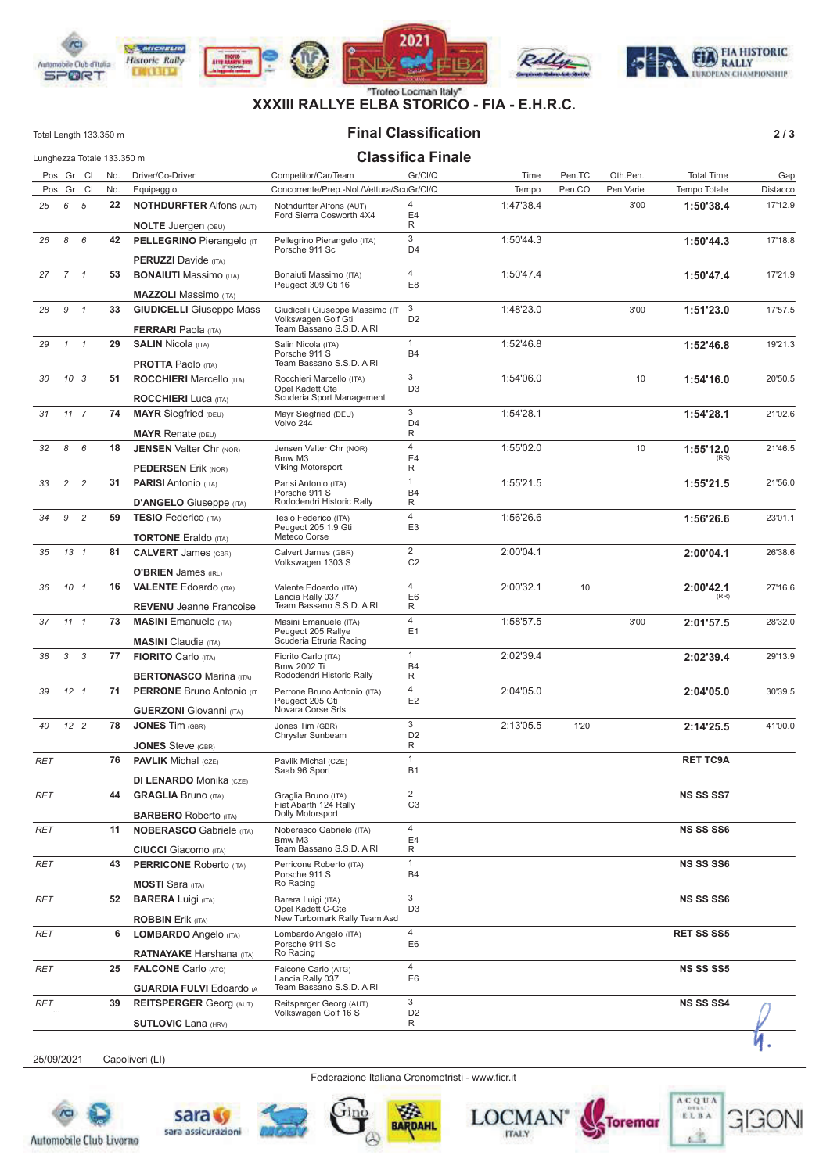

# **XXXIII RALLYE ELBA STORICO - FIA - E.H.R.C.**

#### **Final Classification**

Total Length 133.350 m

 $2/3$ 

|            |                 |                 | Lunghezza Totale 133.350 m |                                                                |                                                                        | <b>Classifica Finale</b>         |           |        |           |                   |          |
|------------|-----------------|-----------------|----------------------------|----------------------------------------------------------------|------------------------------------------------------------------------|----------------------------------|-----------|--------|-----------|-------------------|----------|
|            |                 | Pos. Gr Cl      | No.                        | Driver/Co-Driver                                               | Competitor/Car/Team                                                    | Gr/Cl/Q                          | Time      | Pen.TC | Oth.Pen.  | <b>Total Time</b> | Gap      |
|            |                 | Pos. Gr Cl      | No.                        | Equipaggio                                                     | Concorrente/Prep.-Nol./Vettura/ScuGr/Cl/Q                              |                                  | Tempo     | Pen.CO | Pen.Varie | Tempo Totale      | Distacco |
| 25         | 6               | 5               | 22                         | <b>NOTHDURFTER Alfons (AUT)</b><br><b>NOLTE</b> Juergen (DEU)  | Nothdurfter Alfons (AUT)<br>Ford Sierra Cosworth 4X4                   | 4<br>E4<br>R                     | 1:47'38.4 |        | 3'00      | 1:50'38.4         | 17'12.9  |
| 26         | 8               | 6               | 42                         | <b>PELLEGRINO Pierangelo (IT</b>                               | Pellegrino Pierangelo (ITA)<br>Porsche 911 Sc                          | 3<br>D <sub>4</sub>              | 1:50'44.3 |        |           | 1:50'44.3         | 17'18.8  |
|            |                 |                 |                            | <b>PERUZZI</b> Davide (ITA)                                    |                                                                        |                                  |           |        |           |                   |          |
| 27         | 7 <sub>1</sub>  |                 | 53                         | <b>BONAIUTI</b> Massimo (ITA)<br><b>MAZZOLI</b> Massimo (ITA)  | Bonaiuti Massimo (ITA)<br>Peugeot 309 Gti 16                           | $\overline{4}$<br>E8             | 1:50'47.4 |        |           | 1:50'47.4         | 17'21.9  |
| 28         | 9               | $\mathcal{I}$   | 33                         | <b>GIUDICELLI</b> Giuseppe Mass                                | Giudicelli Giuseppe Massimo (IT                                        | 3                                | 1:48'23.0 |        | 3'00      | 1:51'23.0         | 17'57.5  |
|            |                 |                 |                            | <b>FERRARI</b> Paola (ITA)                                     | Volkswagen Golf Gti<br>Team Bassano S.S.D. A RI                        | D <sub>2</sub>                   |           |        |           |                   |          |
| 29         | $\mathcal{I}$   | $\overline{1}$  | 29                         | <b>SALIN Nicola (ITA)</b><br><b>PROTTA Paolo (ITA)</b>         | Salin Nicola (ITA)<br>Porsche 911 S<br>Team Bassano S.S.D. A RI        | $\mathbf{1}$<br><b>B4</b>        | 1:52'46.8 |        |           | 1:52'46.8         | 19'21.3  |
| 30         | 10 <sup>3</sup> |                 | 51                         | <b>ROCCHIERI</b> Marcello (ITA)                                | Rocchieri Marcello (ITA)                                               | 3                                | 1:54'06.0 |        | 10        | 1:54'16.0         | 20'50.5  |
|            |                 |                 |                            | <b>ROCCHIERI</b> Luca (ITA)                                    | Opel Kadett Gte<br>Scuderia Sport Management                           | D <sub>3</sub>                   |           |        |           |                   |          |
| 31         | 117             |                 | 74                         | <b>MAYR</b> Siegfried (DEU)                                    | Mayr Siegfried (DEU)<br>Volvo 244                                      | 3<br>D <sub>4</sub>              | 1:54'28.1 |        |           | 1:54'28.1         | 21'02.6  |
|            |                 |                 |                            | <b>MAYR Renate (DEU)</b>                                       |                                                                        | R<br>$\overline{4}$              |           |        |           |                   |          |
| 32         | 8               | 6               | 18                         | <b>JENSEN Valter Chr (NOR)</b><br><b>PEDERSEN Erik (NOR)</b>   | Jensen Valter Chr (NOR)<br>Bmw M3<br>Viking Motorsport                 | E <sub>4</sub><br>R              | 1:55'02.0 |        | 10        | 1:55'12.0<br>(RR) | 21'46.5  |
| 33         | 2               | $\overline{c}$  | 31                         | <b>PARISI</b> Antonio (ITA)                                    | Parisi Antonio (ITA)<br>Porsche 911 S                                  | $\mathbf{1}$<br><b>B4</b>        | 1:55'21.5 |        |           | 1:55'21.5         | 21'56.0  |
|            |                 |                 |                            | <b>D'ANGELO</b> Giuseppe (ITA)                                 | Rododendri Historic Rally                                              | R                                |           |        |           |                   |          |
| 34         | 9               | $\overline{c}$  | 59                         | <b>TESIO Federico</b> (ITA)<br><b>TORTONE</b> Eraldo (ITA)     | Tesio Federico (ITA)<br>Peugeot 205 1.9 Gti<br>Meteco Corse            | $\overline{4}$<br>E <sub>3</sub> | 1:56'26.6 |        |           | 1:56'26.6         | 23'01.1  |
| 35         | 13 <sub>1</sub> |                 | 81                         | <b>CALVERT</b> James (GBR)                                     | Calvert James (GBR)<br>Volkswagen 1303 S                               | $\overline{2}$<br>C <sub>2</sub> | 2:00'04.1 |        |           | 2:00'04.1         | 26'38.6  |
|            |                 |                 |                            | <b>O'BRIEN</b> James (IRL)                                     |                                                                        |                                  |           |        |           |                   |          |
| 36         | 10 <sub>1</sub> |                 | 16                         | <b>VALENTE Edoardo</b> (ITA)<br><b>REVENU</b> Jeanne Francoise | Valente Edoardo (ITA)<br>Lancia Rally 037<br>Team Bassano S.S.D. A RI  | $\overline{4}$<br>E6<br>R        | 2:00'32.1 | 10     |           | 2:00'42.1<br>(RR) | 27'16.6  |
| 37         | $11 \quad 1$    |                 | 73                         | <b>MASINI</b> Emanuele (ITA)                                   | Masini Emanuele (ITA)<br>Peugeot 205 Rallye                            | $\overline{4}$<br>E <sub>1</sub> | 1:58'57.5 |        | 3'00      | 2:01'57.5         | 28'32.0  |
|            |                 |                 |                            | <b>MASINI</b> Claudia (ITA)                                    | Scuderia Etruria Racing                                                |                                  |           |        |           |                   |          |
| 38         | 3               | 3               | 77                         | <b>FIORITO</b> Carlo (ITA)<br><b>BERTONASCO Marina (ITA)</b>   | Fiorito Carlo (ITA)<br><b>Bmw 2002 Ti</b><br>Rododendri Historic Rally | $\mathbf{1}$<br><b>B4</b><br>R   | 2:02'39.4 |        |           | 2:02'39.4         | 29'13.9  |
| 39         |                 | 12 <sub>1</sub> | 71                         | <b>PERRONE Bruno Antonio (IT</b>                               | Perrone Bruno Antonio (ITA)                                            | $\overline{4}$                   | 2:04'05.0 |        |           | 2:04'05.0         | 30'39.5  |
|            |                 |                 |                            | <b>GUERZONI</b> Giovanni (ITA)                                 | Peugeot 205 Gti<br>Novara Corse Srls                                   | E <sub>2</sub>                   |           |        |           |                   |          |
| 40         | 12 <sup>2</sup> |                 | 78                         | <b>JONES Tim (GBR)</b>                                         | Jones Tim (GBR)<br>Chrysler Sunbeam                                    | 3<br>D <sub>2</sub><br>R         | 2:13'05.5 | 1'20   |           | 2:14'25.5         | 41'00.0  |
| <b>RET</b> |                 |                 | 76                         | <b>JONES</b> Steve (GBR)<br><b>PAVLIK Michal (CZE)</b>         | Pavlik Michal (CZE)                                                    | $\mathbf{1}$                     |           |        |           | <b>RET TC9A</b>   |          |
|            |                 |                 |                            | <b>DI LENARDO Monika (CZE)</b>                                 | Saab 96 Sport                                                          | <b>B1</b>                        |           |        |           |                   |          |
| RET        |                 |                 | 44                         | <b>GRAGLIA Bruno (ITA)</b>                                     | Graglia Bruno (ITA)                                                    | $\overline{2}$                   |           |        |           | <b>NS SS SS7</b>  |          |
|            |                 |                 |                            | <b>BARBERO</b> Roberto (ITA)                                   | Fiat Abarth 124 Rally<br>Dolly Motorsport                              | C <sub>3</sub>                   |           |        |           |                   |          |
| RET        |                 |                 | 11                         | <b>NOBERASCO</b> Gabriele (ITA)                                | Noberasco Gabriele (ITA)<br>Bmw M3                                     | 4<br>E4                          |           |        |           | <b>NS SS SS6</b>  |          |
|            |                 |                 |                            | <b>CIUCCI</b> Giacomo (ITA)                                    | Team Bassano S.S.D. A RI                                               | R                                |           |        |           |                   |          |
| RET        |                 |                 | 43                         | <b>PERRICONE Roberto (ITA)</b><br><b>MOSTI</b> Sara (ITA)      | Perricone Roberto (ITA)<br>Porsche 911 S<br>Ro Racing                  | $\mathbf{1}$<br><b>B4</b>        |           |        |           | <b>NS SS SS6</b>  |          |
| RET        |                 |                 | 52                         | <b>BARERA Luigi (ITA)</b>                                      | Barera Luigi (ITA)                                                     | 3                                |           |        |           | <b>NS SS SS6</b>  |          |
|            |                 |                 |                            | <b>ROBBIN Erik (ITA)</b>                                       | Opel Kadett C-Gte<br>New Turbomark Rally Team Asd                      | D <sub>3</sub>                   |           |        |           |                   |          |
| RET        |                 |                 | 6                          | LOMBARDO Angelo (ITA)                                          | Lombardo Angelo (ITA)<br>Porsche 911 Sc<br>Ro Racing                   | 4<br>E6                          |           |        |           | <b>RET SS SS5</b> |          |
|            |                 |                 |                            | <b>RATNAYAKE Harshana (ITA)</b>                                |                                                                        | $\overline{4}$                   |           |        |           |                   |          |
| RET        |                 |                 | 25                         | <b>FALCONE Carlo (ATG)</b><br><b>GUARDIA FULVI Edoardo (A</b>  | Falcone Carlo (ATG)<br>Lancia Rally 037<br>Team Bassano S.S.D. A RI    | E6                               |           |        |           | NS SS SS5         |          |
| RET        |                 |                 | 39                         | <b>REITSPERGER Georg (AUT)</b>                                 | Reitsperger Georg (AUT)                                                | 3                                |           |        |           | <b>NS SS SS4</b>  |          |
|            |                 |                 |                            | <b>SUTLOVIC Lana (HRV)</b>                                     | Volkswagen Golf 16 S                                                   | D <sub>2</sub><br>R              |           |        |           |                   |          |
|            |                 |                 |                            |                                                                |                                                                        |                                  |           |        |           |                   |          |

25/09/2021 Capoliveri (LI)

Federazione Italiana Cronometristi - www.ficr.it

W

**BARDAHL** 









**ACQUA** 

ELBA

ń.

È

GIGO